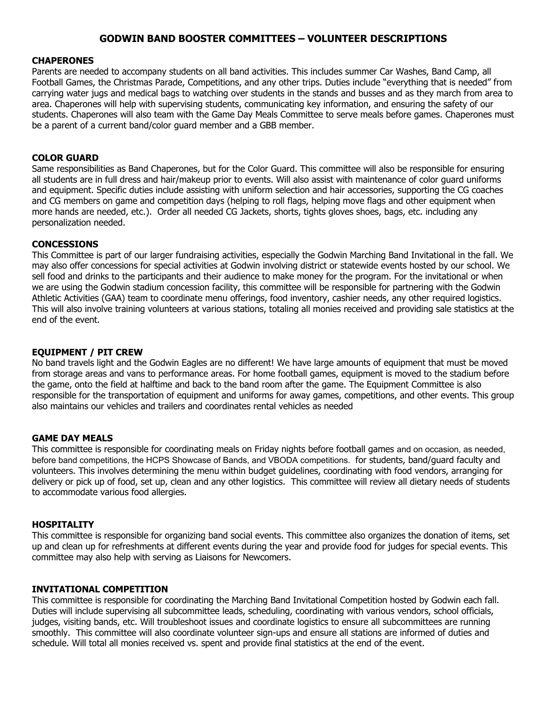# **GODWIN BAND BOOSTER COMMITTEES – VOLUNTEER DESCRIPTIONS**

### **CHAPERONES**

Parents are needed to accompany students on all band activities. This includes summer Car Washes, Band Camp, all Football Games, the Christmas Parade, Competitions, and any other trips. Duties include "everything that is needed" from carrying water jugs and medical bags to watching over students in the stands and busses and as they march from area to area. Chaperones will help with supervising students, communicating key information, and ensuring the safety of our students. Chaperones will also team with the Game Day Meals Committee to serve meals before games. Chaperones must be a parent of a current band/color guard member and a GBB member.

# **COLOR GUARD**

Same responsibilities as Band Chaperones, but for the Color Guard. This committee will also be responsible for ensuring all students are in full dress and hair/makeup prior to events. Will also assist with maintenance of color guard uniforms and equipment. Specific duties include assisting with uniform selection and hair accessories, supporting the CG coaches and CG members on game and competition days (helping to roll flags, helping move flags and other equipment when more hands are needed, etc.). Order all needed CG Jackets, shorts, tights gloves shoes, bags, etc. including any personalization needed.

# **CONCESSIONS**

This Committee is part of our larger fundraising activities, especially the Godwin Marching Band Invitational in the fall. We may also offer concessions for special activities at Godwin involving district or statewide events hosted by our school. We sell food and drinks to the participants and their audience to make money for the program. For the invitational or when we are using the Godwin stadium concession facility, this committee will be responsible for partnering with the Godwin Athletic Activities (GAA) team to coordinate menu offerings, food inventory, cashier needs, any other required logistics. This will also involve training volunteers at various stations, totaling all monies received and providing sale statistics at the end of the event.

# **EQUIPMENT / PIT CREW**

No band travels light and the Godwin Eagles are no different! We have large amounts of equipment that must be moved from storage areas and vans to performance areas. For home football games, equipment is moved to the stadium before the game, onto the field at halftime and back to the band room after the game. The Equipment Committee is also responsible for the transportation of equipment and uniforms for away games, competitions, and other events. This group also maintains our vehicles and trailers and coordinates rental vehicles as needed

### **GAME DAY MEALS**

This committee is responsible for coordinating meals on Friday nights before football games and on occasion, as needed, before band competitions, the HCPS Showcase of Bands, and VBODA competitions. for students, band/guard faculty and volunteers. This involves determining the menu within budget guidelines, coordinating with food vendors, arranging for delivery or pick up of food, set up, clean and any other logistics. This committee will review all dietary needs of students to accommodate various food allergies.

### **HOSPITALITY**

This committee is responsible for organizing band social events. This committee also organizes the donation of items, set up and clean up for refreshments at different events during the year and provide food for judges for special events. This committee may also help with serving as Liaisons for Newcomers.

# **INVITATIONAL COMPETITION**

This committee is responsible for coordinating the Marching Band Invitational Competition hosted by Godwin each fall. Duties will include supervising all subcommittee leads, scheduling, coordinating with various vendors, school officials, judges, visiting bands, etc. Will troubleshoot issues and coordinate logistics to ensure all subcommittees are running smoothly. This committee will also coordinate volunteer sign-ups and ensure all stations are informed of duties and schedule. Will total all monies received vs. spent and provide final statistics at the end of the event.